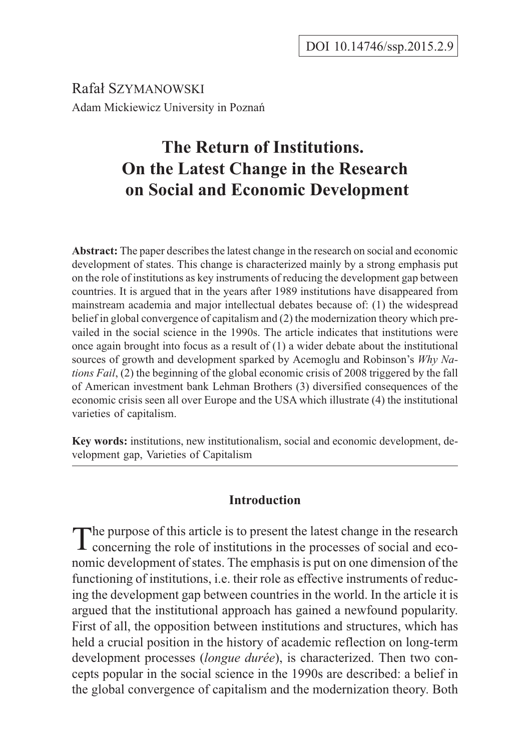Rafał Szymanowski Adam Mickiewicz University in Poznañ

# **The Return of Institutions. On the Latest Change in the Research on Social and Economic Development**

**Abstract:** The paper describes the latest change in the research on social and economic development of states. This change is characterized mainly by a strong emphasis put on the role of institutions as key instruments of reducing the development gap between countries. It is argued that in the years after 1989 institutions have disappeared from mainstream academia and major intellectual debates because of: (1) the widespread belief in global convergence of capitalism and (2) the modernization theory which prevailed in the social science in the 1990s. The article indicates that institutions were once again brought into focus as a result of  $(1)$  a wider debate about the institutional sources of growth and development sparked by Acemoglu and Robinson's *Why Nations Fail*, (2) the beginning of the global economic crisis of 2008 triggered by the fall of American investment bank Lehman Brothers (3) diversified consequences of the economic crisis seen all over Europe and the USA which illustrate (4) the institutional varieties of capitalism.

**Key words:** institutions, new institutionalism, social and economic development, development gap, Varieties of Capitalism

# **Introduction**

The purpose of this article is to present the latest change in the research<br>concerning the role of institutions in the processes of social and economic development of states. The emphasis is put on one dimension of the functioning of institutions, i.e. their role as effective instruments of reducing the development gap between countries in the world. In the article it is argued that the institutional approach has gained a newfound popularity. First of all, the opposition between institutions and structures, which has held a crucial position in the history of academic reflection on long-term development processes (*longue durée*), is characterized. Then two concepts popular in the social science in the 1990s are described: a belief in the global convergence of capitalism and the modernization theory. Both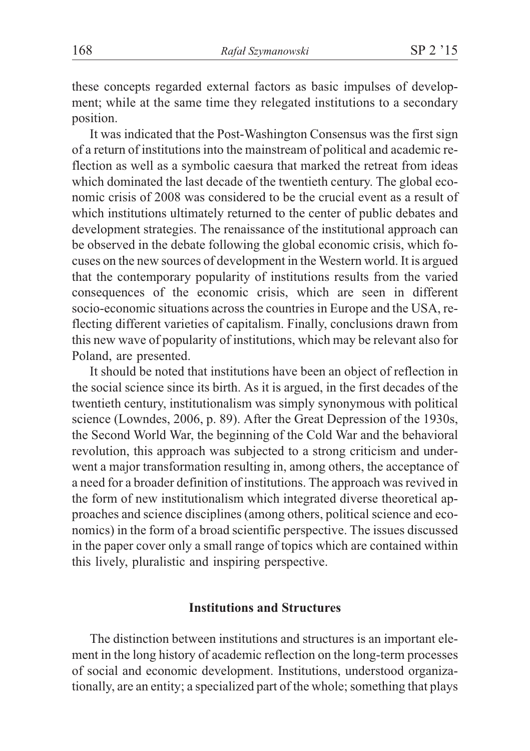these concepts regarded external factors as basic impulses of development; while at the same time they relegated institutions to a secondary position.

It was indicated that the Post-Washington Consensus was the first sign of a return of institutions into the mainstream of political and academic reflection as well as a symbolic caesura that marked the retreat from ideas which dominated the last decade of the twentieth century. The global economic crisis of 2008 was considered to be the crucial event as a result of which institutions ultimately returned to the center of public debates and development strategies. The renaissance of the institutional approach can be observed in the debate following the global economic crisis, which focuses on the new sources of development in the Western world. It is argued that the contemporary popularity of institutions results from the varied consequences of the economic crisis, which are seen in different socio-economic situations across the countries in Europe and the USA, reflecting different varieties of capitalism. Finally, conclusions drawn from this new wave of popularity of institutions, which may be relevant also for Poland, are presented.

It should be noted that institutions have been an object of reflection in the social science since its birth. As it is argued, in the first decades of the twentieth century, institutionalism was simply synonymous with political science (Lowndes, 2006, p. 89). After the Great Depression of the 1930s, the Second World War, the beginning of the Cold War and the behavioral revolution, this approach was subjected to a strong criticism and underwent a major transformation resulting in, among others, the acceptance of a need for a broader definition of institutions. The approach was revived in the form of new institutionalism which integrated diverse theoretical approaches and science disciplines (among others, political science and economics) in the form of a broad scientific perspective. The issues discussed in the paper cover only a small range of topics which are contained within this lively, pluralistic and inspiring perspective.

# **Institutions and Structures**

The distinction between institutions and structures is an important element in the long history of academic reflection on the long-term processes of social and economic development. Institutions, understood organizationally, are an entity; a specialized part of the whole; something that plays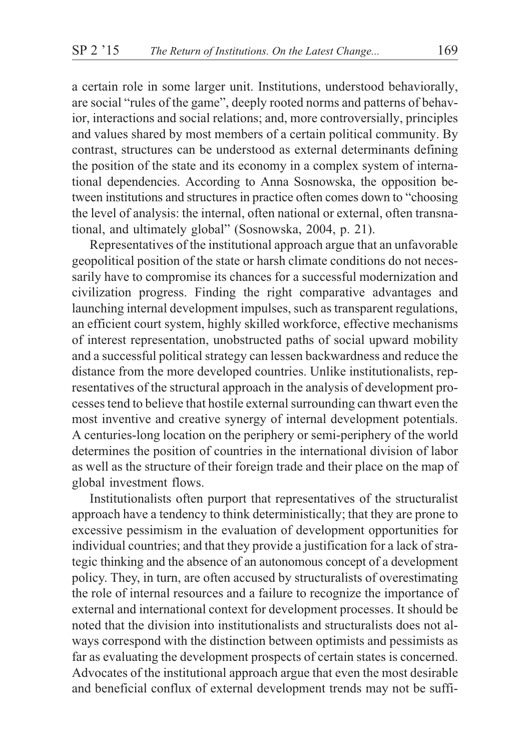a certain role in some larger unit. Institutions, understood behaviorally, are social "rules of the game", deeply rooted norms and patterns of behavior, interactions and social relations; and, more controversially, principles and values shared by most members of a certain political community. By contrast, structures can be understood as external determinants defining the position of the state and its economy in a complex system of international dependencies. According to Anna Sosnowska, the opposition between institutions and structures in practice often comes down to "choosing the level of analysis: the internal, often national or external, often transnational, and ultimately global" (Sosnowska, 2004, p. 21).

Representatives of the institutional approach argue that an unfavorable geopolitical position of the state or harsh climate conditions do not necessarily have to compromise its chances for a successful modernization and civilization progress. Finding the right comparative advantages and launching internal development impulses, such as transparent regulations, an efficient court system, highly skilled workforce, effective mechanisms of interest representation, unobstructed paths of social upward mobility and a successful political strategy can lessen backwardness and reduce the distance from the more developed countries. Unlike institutionalists, representatives of the structural approach in the analysis of development processes tend to believe that hostile external surrounding can thwart even the most inventive and creative synergy of internal development potentials. A centuries-long location on the periphery or semi-periphery of the world determines the position of countries in the international division of labor as well as the structure of their foreign trade and their place on the map of global investment flows.

Institutionalists often purport that representatives of the structuralist approach have a tendency to think deterministically; that they are prone to excessive pessimism in the evaluation of development opportunities for individual countries; and that they provide a justification for a lack of strategic thinking and the absence of an autonomous concept of a development policy. They, in turn, are often accused by structuralists of overestimating the role of internal resources and a failure to recognize the importance of external and international context for development processes. It should be noted that the division into institutionalists and structuralists does not always correspond with the distinction between optimists and pessimists as far as evaluating the development prospects of certain states is concerned. Advocates of the institutional approach argue that even the most desirable and beneficial conflux of external development trends may not be suffi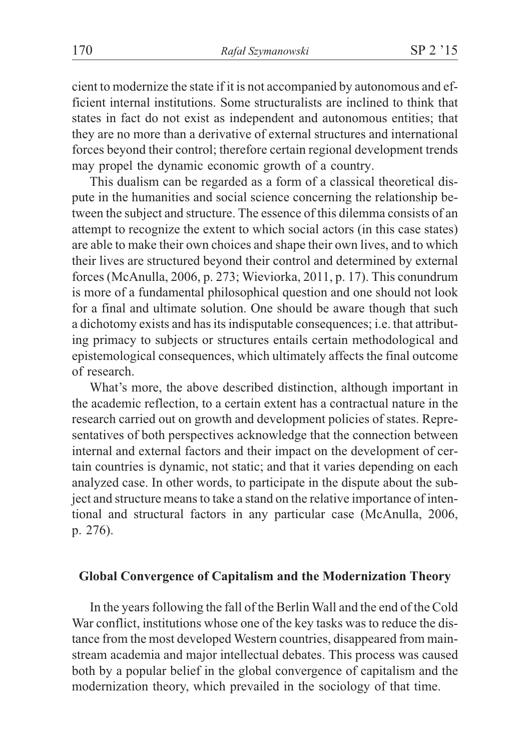cient to modernize the state if it is not accompanied by autonomous and efficient internal institutions. Some structuralists are inclined to think that states in fact do not exist as independent and autonomous entities; that they are no more than a derivative of external structures and international forces beyond their control; therefore certain regional development trends may propel the dynamic economic growth of a country.

This dualism can be regarded as a form of a classical theoretical dispute in the humanities and social science concerning the relationship between the subject and structure. The essence of this dilemma consists of an attempt to recognize the extent to which social actors (in this case states) are able to make their own choices and shape their own lives, and to which their lives are structured beyond their control and determined by external forces (McAnulla, 2006, p. 273; Wieviorka, 2011, p. 17). This conundrum is more of a fundamental philosophical question and one should not look for a final and ultimate solution. One should be aware though that such a dichotomy exists and has its indisputable consequences; i.e. that attributing primacy to subjects or structures entails certain methodological and epistemological consequences, which ultimately affects the final outcome of research.

What's more, the above described distinction, although important in the academic reflection, to a certain extent has a contractual nature in the research carried out on growth and development policies of states. Representatives of both perspectives acknowledge that the connection between internal and external factors and their impact on the development of certain countries is dynamic, not static; and that it varies depending on each analyzed case. In other words, to participate in the dispute about the subject and structure means to take a stand on the relative importance of intentional and structural factors in any particular case (McAnulla, 2006, p. 276).

#### **Global Convergence of Capitalism and the Modernization Theory**

In the years following the fall of the Berlin Wall and the end of the Cold War conflict, institutions whose one of the key tasks was to reduce the distance from the most developed Western countries, disappeared from mainstream academia and major intellectual debates. This process was caused both by a popular belief in the global convergence of capitalism and the modernization theory, which prevailed in the sociology of that time.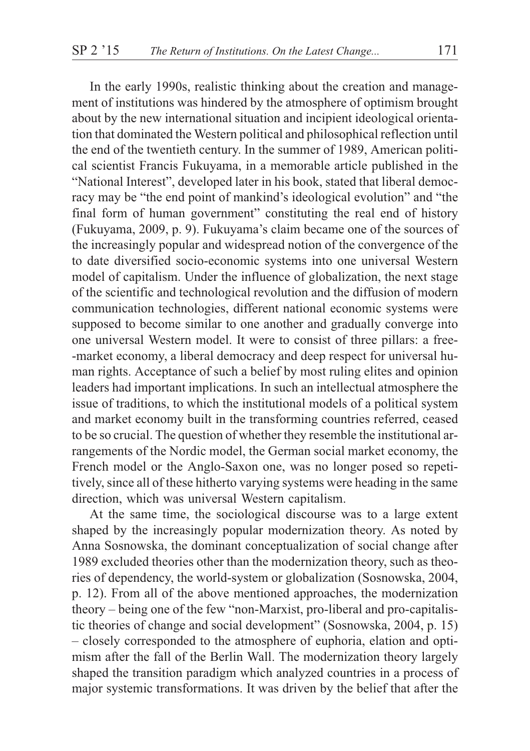In the early 1990s, realistic thinking about the creation and management of institutions was hindered by the atmosphere of optimism brought about by the new international situation and incipient ideological orientation that dominated the Western political and philosophical reflection until the end of the twentieth century. In the summer of 1989, American political scientist Francis Fukuyama, in a memorable article published in the "National Interest", developed later in his book, stated that liberal democracy may be "the end point of mankind's ideological evolution" and "the final form of human government" constituting the real end of history (Fukuyama, 2009, p. 9). Fukuyama's claim became one of the sources of the increasingly popular and widespread notion of the convergence of the to date diversified socio-economic systems into one universal Western model of capitalism. Under the influence of globalization, the next stage of the scientific and technological revolution and the diffusion of modern communication technologies, different national economic systems were supposed to become similar to one another and gradually converge into one universal Western model. It were to consist of three pillars: a free- -market economy, a liberal democracy and deep respect for universal human rights. Acceptance of such a belief by most ruling elites and opinion leaders had important implications. In such an intellectual atmosphere the issue of traditions, to which the institutional models of a political system and market economy built in the transforming countries referred, ceased to be so crucial. The question of whether they resemble the institutional arrangements of the Nordic model, the German social market economy, the French model or the Anglo-Saxon one, was no longer posed so repetitively, since all of these hitherto varying systems were heading in the same direction, which was universal Western capitalism.

At the same time, the sociological discourse was to a large extent shaped by the increasingly popular modernization theory. As noted by Anna Sosnowska, the dominant conceptualization of social change after 1989 excluded theories other than the modernization theory, such as theories of dependency, the world-system or globalization (Sosnowska, 2004, p. 12). From all of the above mentioned approaches, the modernization theory – being one of the few "non-Marxist, pro-liberal and pro-capitalistic theories of change and social development" (Sosnowska, 2004, p. 15) – closely corresponded to the atmosphere of euphoria, elation and optimism after the fall of the Berlin Wall. The modernization theory largely shaped the transition paradigm which analyzed countries in a process of major systemic transformations. It was driven by the belief that after the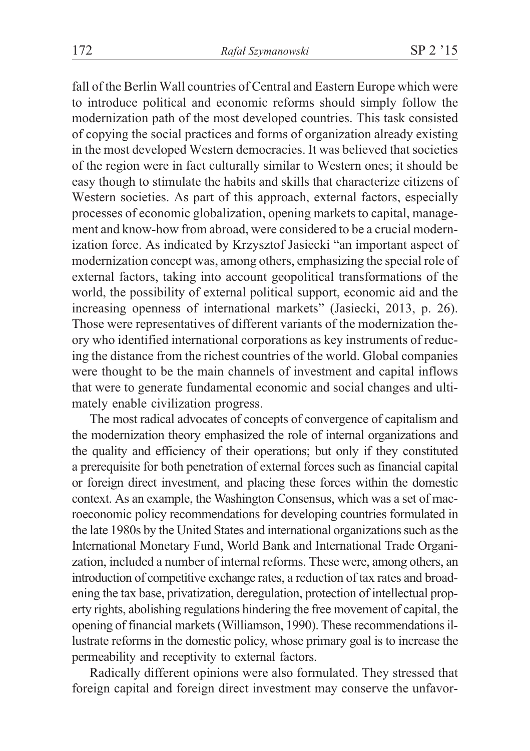fall of the Berlin Wall countries of Central and Eastern Europe which were to introduce political and economic reforms should simply follow the modernization path of the most developed countries. This task consisted of copying the social practices and forms of organization already existing in the most developed Western democracies. It was believed that societies of the region were in fact culturally similar to Western ones; it should be easy though to stimulate the habits and skills that characterize citizens of Western societies. As part of this approach, external factors, especially processes of economic globalization, opening markets to capital, management and know-how from abroad, were considered to be a crucial modernization force. As indicated by Krzysztof Jasiecki "an important aspect of modernization concept was, among others, emphasizing the special role of external factors, taking into account geopolitical transformations of the world, the possibility of external political support, economic aid and the increasing openness of international markets" (Jasiecki, 2013, p. 26). Those were representatives of different variants of the modernization theory who identified international corporations as key instruments of reducing the distance from the richest countries of the world. Global companies were thought to be the main channels of investment and capital inflows that were to generate fundamental economic and social changes and ultimately enable civilization progress.

The most radical advocates of concepts of convergence of capitalism and the modernization theory emphasized the role of internal organizations and the quality and efficiency of their operations; but only if they constituted a prerequisite for both penetration of external forces such as financial capital or foreign direct investment, and placing these forces within the domestic context. As an example, the Washington Consensus, which was a set of macroeconomic policy recommendations for developing countries formulated in the late 1980s by the United States and international organizations such as the International Monetary Fund, World Bank and International Trade Organization, included a number of internal reforms. These were, among others, an introduction of competitive exchange rates, a reduction of tax rates and broadening the tax base, privatization, deregulation, protection of intellectual property rights, abolishing regulations hindering the free movement of capital, the opening of financial markets (Williamson, 1990). These recommendations illustrate reforms in the domestic policy, whose primary goal is to increase the permeability and receptivity to external factors.

Radically different opinions were also formulated. They stressed that foreign capital and foreign direct investment may conserve the unfavor-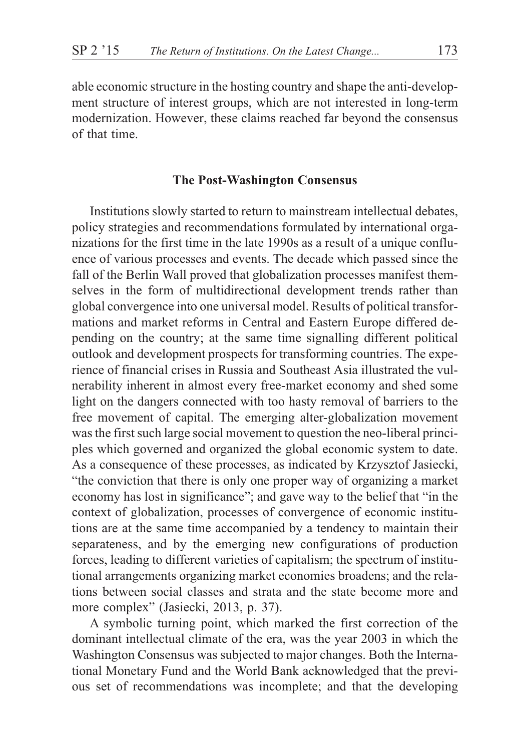able economic structure in the hosting country and shape the anti-development structure of interest groups, which are not interested in long-term modernization. However, these claims reached far beyond the consensus of that time.

### **The Post-Washington Consensus**

Institutions slowly started to return to mainstream intellectual debates, policy strategies and recommendations formulated by international organizations for the first time in the late 1990s as a result of a unique confluence of various processes and events. The decade which passed since the fall of the Berlin Wall proved that globalization processes manifest themselves in the form of multidirectional development trends rather than global convergence into one universal model. Results of political transformations and market reforms in Central and Eastern Europe differed depending on the country; at the same time signalling different political outlook and development prospects for transforming countries. The experience of financial crises in Russia and Southeast Asia illustrated the vulnerability inherent in almost every free-market economy and shed some light on the dangers connected with too hasty removal of barriers to the free movement of capital. The emerging alter-globalization movement was the first such large social movement to question the neo-liberal principles which governed and organized the global economic system to date. As a consequence of these processes, as indicated by Krzysztof Jasiecki, "the conviction that there is only one proper way of organizing a market economy has lost in significance"; and gave way to the belief that "in the context of globalization, processes of convergence of economic institutions are at the same time accompanied by a tendency to maintain their separateness, and by the emerging new configurations of production forces, leading to different varieties of capitalism; the spectrum of institutional arrangements organizing market economies broadens; and the relations between social classes and strata and the state become more and more complex" (Jasiecki, 2013, p. 37).

A symbolic turning point, which marked the first correction of the dominant intellectual climate of the era, was the year 2003 in which the Washington Consensus was subjected to major changes. Both the International Monetary Fund and the World Bank acknowledged that the previous set of recommendations was incomplete; and that the developing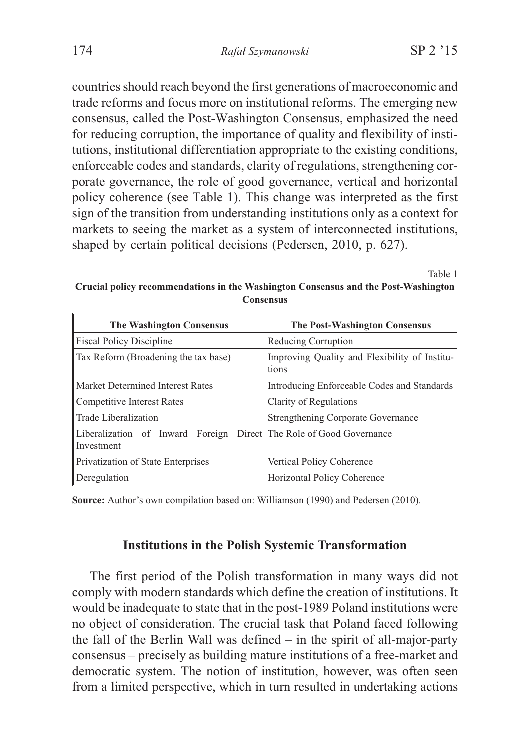countries should reach beyond the first generations of macroeconomic and trade reforms and focus more on institutional reforms. The emerging new consensus, called the Post-Washington Consensus, emphasized the need for reducing corruption, the importance of quality and flexibility of institutions, institutional differentiation appropriate to the existing conditions, enforceable codes and standards, clarity of regulations, strengthening corporate governance, the role of good governance, vertical and horizontal policy coherence (see Table 1). This change was interpreted as the first sign of the transition from understanding institutions only as a context for markets to seeing the market as a system of interconnected institutions, shaped by certain political decisions (Pedersen, 2010, p. 627).

Table 1

**Crucial policy recommendations in the Washington Consensus and the Post-Washington Consensus**

| <b>The Washington Consensus</b>                                                   | The Post-Washington Consensus                          |
|-----------------------------------------------------------------------------------|--------------------------------------------------------|
| <b>Fiscal Policy Discipline</b>                                                   | Reducing Corruption                                    |
| Tax Reform (Broadening the tax base)                                              | Improving Quality and Flexibility of Institu-<br>tions |
| Market Determined Interest Rates                                                  | Introducing Enforceable Codes and Standards            |
| <b>Competitive Interest Rates</b>                                                 | Clarity of Regulations                                 |
| Trade Liberalization                                                              | Strengthening Corporate Governance                     |
| Liberalization of Inward Foreign Direct The Role of Good Governance<br>Investment |                                                        |
| Privatization of State Enterprises                                                | Vertical Policy Coherence                              |
| Deregulation                                                                      | Horizontal Policy Coherence                            |

**Source:** Author's own compilation based on: Williamson (1990) and Pedersen (2010).

## **Institutions in the Polish Systemic Transformation**

The first period of the Polish transformation in many ways did not comply with modern standards which define the creation of institutions. It would be inadequate to state that in the post-1989 Poland institutions were no object of consideration. The crucial task that Poland faced following the fall of the Berlin Wall was defined – in the spirit of all-major-party consensus – precisely as building mature institutions of a free-market and democratic system. The notion of institution, however, was often seen from a limited perspective, which in turn resulted in undertaking actions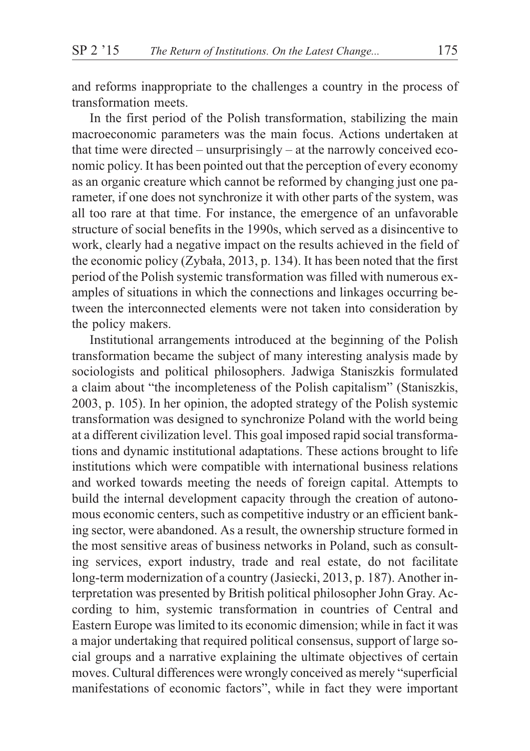and reforms inappropriate to the challenges a country in the process of transformation meets.

In the first period of the Polish transformation, stabilizing the main macroeconomic parameters was the main focus. Actions undertaken at that time were directed – unsurprisingly – at the narrowly conceived economic policy. It has been pointed out that the perception of every economy as an organic creature which cannot be reformed by changing just one parameter, if one does not synchronize it with other parts of the system, was all too rare at that time. For instance, the emergence of an unfavorable structure of social benefits in the 1990s, which served as a disincentive to work, clearly had a negative impact on the results achieved in the field of the economic policy (Zybała, 2013, p. 134). It has been noted that the first period of the Polish systemic transformation was filled with numerous examples of situations in which the connections and linkages occurring between the interconnected elements were not taken into consideration by the policy makers.

Institutional arrangements introduced at the beginning of the Polish transformation became the subject of many interesting analysis made by sociologists and political philosophers. Jadwiga Staniszkis formulated a claim about "the incompleteness of the Polish capitalism" (Staniszkis, 2003, p. 105). In her opinion, the adopted strategy of the Polish systemic transformation was designed to synchronize Poland with the world being at a different civilization level. This goal imposed rapid social transformations and dynamic institutional adaptations. These actions brought to life institutions which were compatible with international business relations and worked towards meeting the needs of foreign capital. Attempts to build the internal development capacity through the creation of autonomous economic centers, such as competitive industry or an efficient banking sector, were abandoned. As a result, the ownership structure formed in the most sensitive areas of business networks in Poland, such as consulting services, export industry, trade and real estate, do not facilitate long-term modernization of a country (Jasiecki, 2013, p. 187). Another interpretation was presented by British political philosopher John Gray. According to him, systemic transformation in countries of Central and Eastern Europe was limited to its economic dimension; while in fact it was a major undertaking that required political consensus, support of large social groups and a narrative explaining the ultimate objectives of certain moves. Cultural differences were wrongly conceived as merely "superficial manifestations of economic factors", while in fact they were important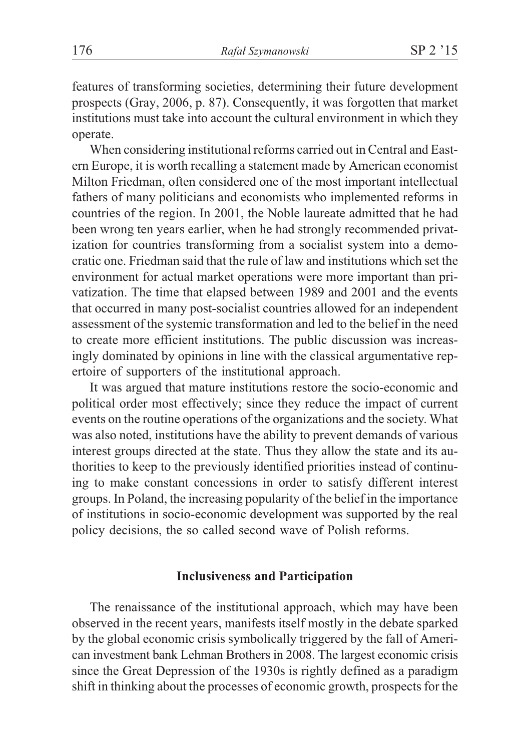features of transforming societies, determining their future development prospects (Gray, 2006, p. 87). Consequently, it was forgotten that market institutions must take into account the cultural environment in which they operate.

When considering institutional reforms carried out in Central and Eastern Europe, it is worth recalling a statement made by American economist Milton Friedman, often considered one of the most important intellectual fathers of many politicians and economists who implemented reforms in countries of the region. In 2001, the Noble laureate admitted that he had been wrong ten years earlier, when he had strongly recommended privatization for countries transforming from a socialist system into a democratic one. Friedman said that the rule of law and institutions which set the environment for actual market operations were more important than privatization. The time that elapsed between 1989 and 2001 and the events that occurred in many post-socialist countries allowed for an independent assessment of the systemic transformation and led to the belief in the need to create more efficient institutions. The public discussion was increasingly dominated by opinions in line with the classical argumentative repertoire of supporters of the institutional approach.

It was argued that mature institutions restore the socio-economic and political order most effectively; since they reduce the impact of current events on the routine operations of the organizations and the society. What was also noted, institutions have the ability to prevent demands of various interest groups directed at the state. Thus they allow the state and its authorities to keep to the previously identified priorities instead of continuing to make constant concessions in order to satisfy different interest groups. In Poland, the increasing popularity of the belief in the importance of institutions in socio-economic development was supported by the real policy decisions, the so called second wave of Polish reforms.

# **Inclusiveness and Participation**

The renaissance of the institutional approach, which may have been observed in the recent years, manifests itself mostly in the debate sparked by the global economic crisis symbolically triggered by the fall of American investment bank Lehman Brothers in 2008. The largest economic crisis since the Great Depression of the 1930s is rightly defined as a paradigm shift in thinking about the processes of economic growth, prospects for the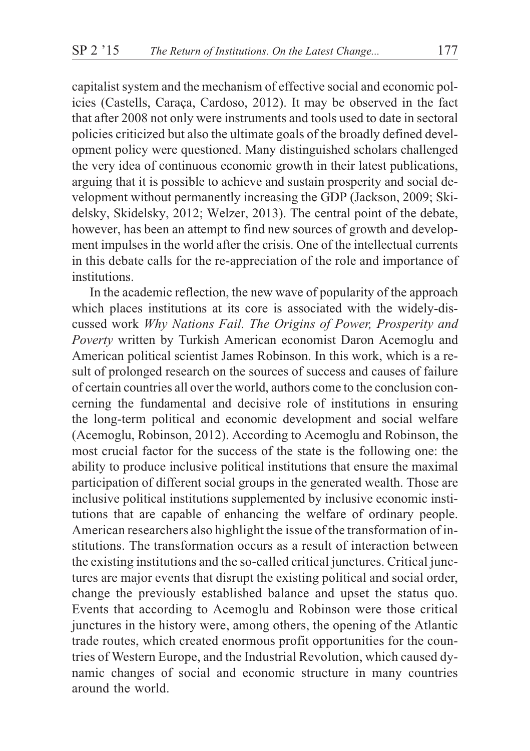capitalist system and the mechanism of effective social and economic policies (Castells, Caraça, Cardoso, 2012). It may be observed in the fact that after 2008 not only were instruments and tools used to date in sectoral policies criticized but also the ultimate goals of the broadly defined development policy were questioned. Many distinguished scholars challenged the very idea of continuous economic growth in their latest publications, arguing that it is possible to achieve and sustain prosperity and social development without permanently increasing the GDP (Jackson, 2009; Skidelsky, Skidelsky, 2012; Welzer, 2013). The central point of the debate, however, has been an attempt to find new sources of growth and development impulses in the world after the crisis. One of the intellectual currents in this debate calls for the re-appreciation of the role and importance of institutions.

In the academic reflection, the new wave of popularity of the approach which places institutions at its core is associated with the widely-discussed work *Why Nations Fail. The Origins of Power, Prosperity and Poverty* written by Turkish American economist Daron Acemoglu and American political scientist James Robinson. In this work, which is a result of prolonged research on the sources of success and causes of failure of certain countries all over the world, authors come to the conclusion concerning the fundamental and decisive role of institutions in ensuring the long-term political and economic development and social welfare (Acemoglu, Robinson, 2012). According to Acemoglu and Robinson, the most crucial factor for the success of the state is the following one: the ability to produce inclusive political institutions that ensure the maximal participation of different social groups in the generated wealth. Those are inclusive political institutions supplemented by inclusive economic institutions that are capable of enhancing the welfare of ordinary people. American researchers also highlight the issue of the transformation of institutions. The transformation occurs as a result of interaction between the existing institutions and the so-called critical junctures. Critical junctures are major events that disrupt the existing political and social order, change the previously established balance and upset the status quo. Events that according to Acemoglu and Robinson were those critical junctures in the history were, among others, the opening of the Atlantic trade routes, which created enormous profit opportunities for the countries of Western Europe, and the Industrial Revolution, which caused dynamic changes of social and economic structure in many countries around the world.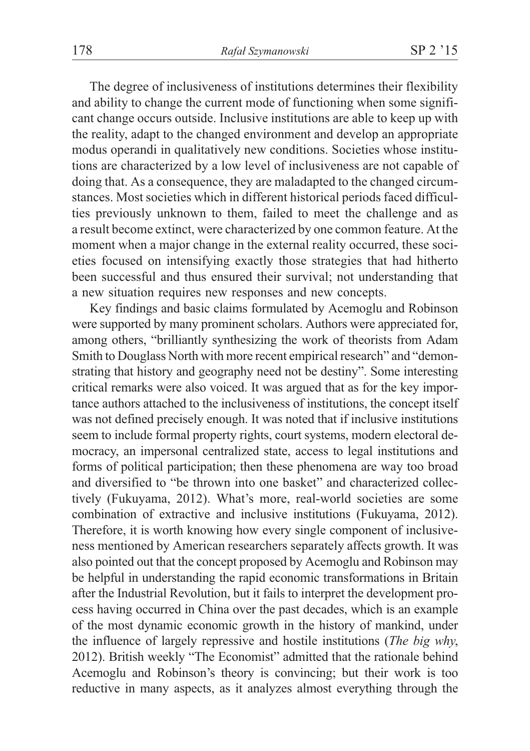The degree of inclusiveness of institutions determines their flexibility and ability to change the current mode of functioning when some significant change occurs outside. Inclusive institutions are able to keep up with the reality, adapt to the changed environment and develop an appropriate modus operandi in qualitatively new conditions. Societies whose institutions are characterized by a low level of inclusiveness are not capable of doing that. As a consequence, they are maladapted to the changed circumstances. Most societies which in different historical periods faced difficulties previously unknown to them, failed to meet the challenge and as a result become extinct, were characterized by one common feature. At the moment when a major change in the external reality occurred, these societies focused on intensifying exactly those strategies that had hitherto been successful and thus ensured their survival; not understanding that a new situation requires new responses and new concepts.

Key findings and basic claims formulated by Acemoglu and Robinson were supported by many prominent scholars. Authors were appreciated for, among others, "brilliantly synthesizing the work of theorists from Adam Smith to Douglass North with more recent empirical research" and "demonstrating that history and geography need not be destiny". Some interesting critical remarks were also voiced. It was argued that as for the key importance authors attached to the inclusiveness of institutions, the concept itself was not defined precisely enough. It was noted that if inclusive institutions seem to include formal property rights, court systems, modern electoral democracy, an impersonal centralized state, access to legal institutions and forms of political participation; then these phenomena are way too broad and diversified to "be thrown into one basket" and characterized collectively (Fukuyama, 2012). What's more, real-world societies are some combination of extractive and inclusive institutions (Fukuyama, 2012). Therefore, it is worth knowing how every single component of inclusiveness mentioned by American researchers separately affects growth. It was also pointed out that the concept proposed by Acemoglu and Robinson may be helpful in understanding the rapid economic transformations in Britain after the Industrial Revolution, but it fails to interpret the development process having occurred in China over the past decades, which is an example of the most dynamic economic growth in the history of mankind, under the influence of largely repressive and hostile institutions (*The big why*, 2012). British weekly "The Economist" admitted that the rationale behind Acemoglu and Robinson's theory is convincing; but their work is too reductive in many aspects, as it analyzes almost everything through the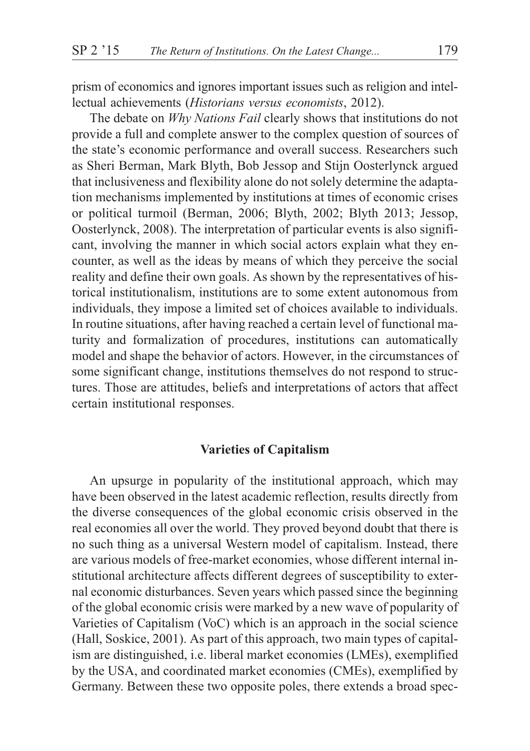prism of economics and ignores important issues such as religion and intellectual achievements (*Historians versus economists*, 2012).

The debate on *Why Nations Fail* clearly shows that institutions do not provide a full and complete answer to the complex question of sources of the state's economic performance and overall success. Researchers such as Sheri Berman, Mark Blyth, Bob Jessop and Stijn Oosterlynck argued that inclusiveness and flexibility alone do not solely determine the adaptation mechanisms implemented by institutions at times of economic crises or political turmoil (Berman, 2006; Blyth, 2002; Blyth 2013; Jessop, Oosterlynck, 2008). The interpretation of particular events is also significant, involving the manner in which social actors explain what they encounter, as well as the ideas by means of which they perceive the social reality and define their own goals. As shown by the representatives of historical institutionalism, institutions are to some extent autonomous from individuals, they impose a limited set of choices available to individuals. In routine situations, after having reached a certain level of functional maturity and formalization of procedures, institutions can automatically model and shape the behavior of actors. However, in the circumstances of some significant change, institutions themselves do not respond to structures. Those are attitudes, beliefs and interpretations of actors that affect certain institutional responses.

## **Varieties of Capitalism**

An upsurge in popularity of the institutional approach, which may have been observed in the latest academic reflection, results directly from the diverse consequences of the global economic crisis observed in the real economies all over the world. They proved beyond doubt that there is no such thing as a universal Western model of capitalism. Instead, there are various models of free-market economies, whose different internal institutional architecture affects different degrees of susceptibility to external economic disturbances. Seven years which passed since the beginning of the global economic crisis were marked by a new wave of popularity of Varieties of Capitalism (VoC) which is an approach in the social science (Hall, Soskice, 2001). As part of this approach, two main types of capitalism are distinguished, i.e. liberal market economies (LMEs), exemplified by the USA, and coordinated market economies (CMEs), exemplified by Germany. Between these two opposite poles, there extends a broad spec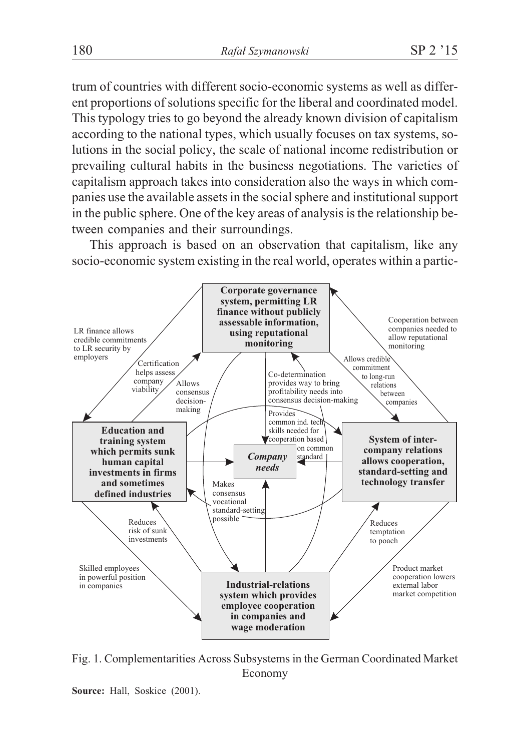trum of countries with different socio-economic systems as well as different proportions of solutions specific for the liberal and coordinated model. This typology tries to go beyond the already known division of capitalism according to the national types, which usually focuses on tax systems, solutions in the social policy, the scale of national income redistribution or prevailing cultural habits in the business negotiations. The varieties of capitalism approach takes into consideration also the ways in which companies use the available assets in the social sphere and institutional support in the public sphere. One of the key areas of analysis is the relationship between companies and their surroundings.

This approach is based on an observation that capitalism, like any socio-economic system existing in the real world, operates within a partic-



Fig. 1. Complementarities Across Subsystems in the German Coordinated Market Economy

**Source:** Hall, Soskice (2001).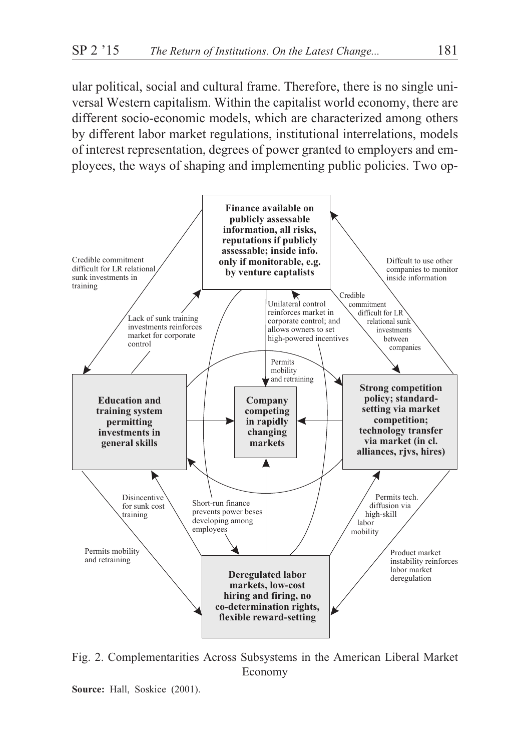ular political, social and cultural frame. Therefore, there is no single universal Western capitalism. Within the capitalist world economy, there are different socio-economic models, which are characterized among others by different labor market regulations, institutional interrelations, models of interest representation, degrees of power granted to employers and employees, the ways of shaping and implementing public policies. Two op-



Fig. 2. Complementarities Across Subsystems in the American Liberal Market Economy

**Source:** Hall, Soskice (2001).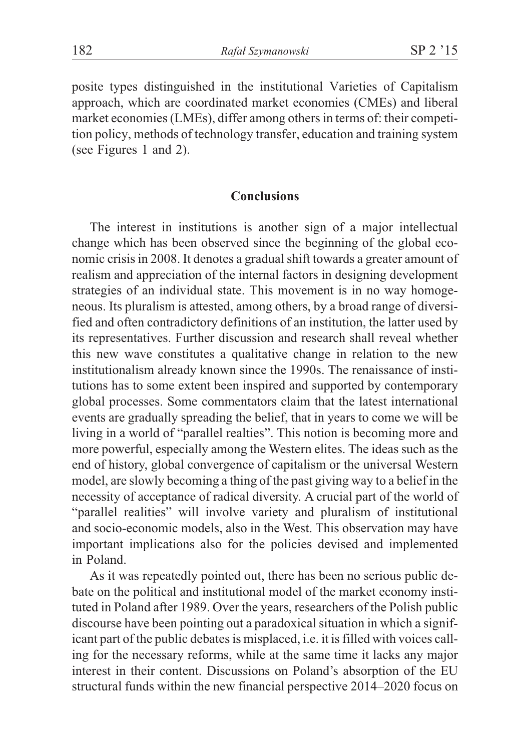posite types distinguished in the institutional Varieties of Capitalism approach, which are coordinated market economies (CMEs) and liberal market economies (LMEs), differ among others in terms of: their competition policy, methods of technology transfer, education and training system (see Figures 1 and 2).

# **Conclusions**

The interest in institutions is another sign of a major intellectual change which has been observed since the beginning of the global economic crisis in 2008. It denotes a gradual shift towards a greater amount of realism and appreciation of the internal factors in designing development strategies of an individual state. This movement is in no way homogeneous. Its pluralism is attested, among others, by a broad range of diversified and often contradictory definitions of an institution, the latter used by its representatives. Further discussion and research shall reveal whether this new wave constitutes a qualitative change in relation to the new institutionalism already known since the 1990s. The renaissance of institutions has to some extent been inspired and supported by contemporary global processes. Some commentators claim that the latest international events are gradually spreading the belief, that in years to come we will be living in a world of "parallel realties". This notion is becoming more and more powerful, especially among the Western elites. The ideas such as the end of history, global convergence of capitalism or the universal Western model, are slowly becoming a thing of the past giving way to a belief in the necessity of acceptance of radical diversity. A crucial part of the world of "parallel realities" will involve variety and pluralism of institutional and socio-economic models, also in the West. This observation may have important implications also for the policies devised and implemented in Poland.

As it was repeatedly pointed out, there has been no serious public debate on the political and institutional model of the market economy instituted in Poland after 1989. Over the years, researchers of the Polish public discourse have been pointing out a paradoxical situation in which a significant part of the public debates is misplaced, i.e. it is filled with voices calling for the necessary reforms, while at the same time it lacks any major interest in their content. Discussions on Poland's absorption of the EU structural funds within the new financial perspective 2014–2020 focus on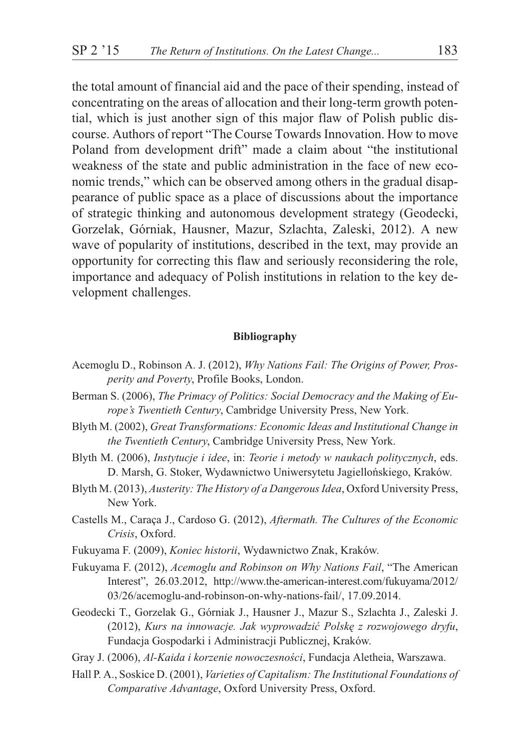the total amount of financial aid and the pace of their spending, instead of concentrating on the areas of allocation and their long-term growth potential, which is just another sign of this major flaw of Polish public discourse. Authors of report "The Course Towards Innovation. How to move Poland from development drift" made a claim about "the institutional weakness of the state and public administration in the face of new economic trends," which can be observed among others in the gradual disappearance of public space as a place of discussions about the importance of strategic thinking and autonomous development strategy (Geodecki, Gorzelak, Górniak, Hausner, Mazur, Szlachta, Zaleski, 2012). A new wave of popularity of institutions, described in the text, may provide an opportunity for correcting this flaw and seriously reconsidering the role, importance and adequacy of Polish institutions in relation to the key development challenges.

#### **Bibliography**

- Acemoglu D., Robinson A. J. (2012), *Why Nations Fail: The Origins of Power, Prosperity and Poverty*, Profile Books, London.
- Berman S. (2006), *The Primacy of Politics: Social Democracy and the Making of Europe's Twentieth Century*, Cambridge University Press, New York.
- Blyth M. (2002), *Great Transformations: Economic Ideas and Institutional Change in the Twentieth Century*, Cambridge University Press, New York.
- Blyth M. (2006), *Instytucje i idee*, in: *Teorie i metody w naukach politycznych*, eds. D. Marsh, G. Stoker, Wydawnictwo Uniwersytetu Jagielloñskiego, Kraków.
- Blyth M. (2013), *Austerity: The History of a Dangerous Idea*, Oxford University Press, New York.
- Castells M., Caraça J., Cardoso G. (2012), *Aftermath. The Cultures of the Economic Crisis*, Oxford.
- Fukuyama F. (2009), *Koniec historii*, Wydawnictwo Znak, Kraków.
- Fukuyama F. (2012), *Acemoglu and Robinson on Why Nations Fail*, "The American Interest", 26.03.2012, http://www.the-american-interest.com/fukuyama/2012/ 03/26/acemoglu-and-robinson-on-why-nations-fail/, 17.09.2014.
- Geodecki T., Gorzelak G., Górniak J., Hausner J., Mazur S., Szlachta J., Zaleski J. (2012), *Kurs na innowacje. Jak wyprowadziæ Polskê z rozwojowego dryfu*, Fundacja Gospodarki i Administracji Publicznej, Kraków.
- Gray J. (2006), *Al-Kaida i korzenie nowoczesności*, Fundacja Aletheia, Warszawa.
- Hall P. A., Soskice D. (2001), *Varieties of Capitalism: The Institutional Foundations of Comparative Advantage*, Oxford University Press, Oxford.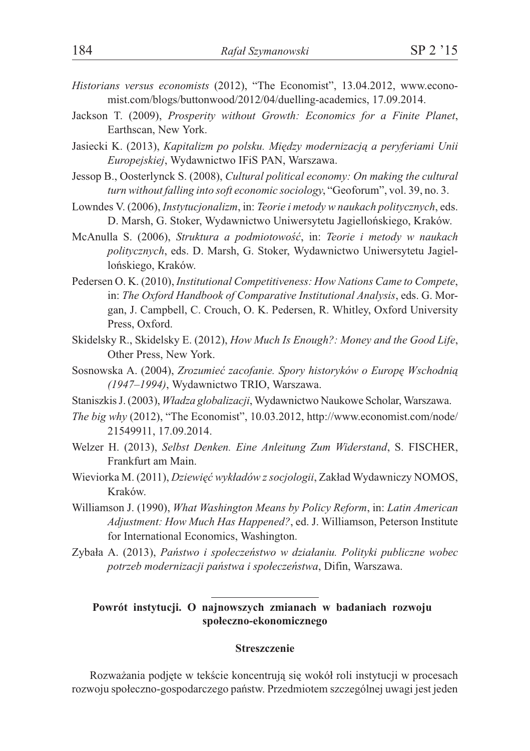- *Historians versus economists* (2012), "The Economist", 13.04.2012, www.economist.com/blogs/buttonwood/2012/04/duelling-academics, 17.09.2014.
- Jackson T. (2009), *Prosperity without Growth: Economics for a Finite Planet*, Earthscan, New York.
- Jasiecki K. (2013), *Kapitalizm po polsku. Między modernizacją a peryferiami Unii Europejskiej*, Wydawnictwo IFiS PAN, Warszawa.
- Jessop B., Oosterlynck S. (2008), *Cultural political economy: On making the cultural turn without falling into soft economic sociology*, "Geoforum", vol. 39, no. 3.
- Lowndes V. (2006), *Instytucjonalizm*, in: *Teorie i metody w naukach politycznych*, eds. D. Marsh, G. Stoker, Wydawnictwo Uniwersytetu Jagielloñskiego, Kraków.
- McAnulla S. (2006), *Struktura a podmiotowoϾ*, in: *Teorie i metody w naukach politycznych*, eds. D. Marsh, G. Stoker, Wydawnictwo Uniwersytetu Jagielloñskiego, Kraków.
- Pedersen O. K. (2010), *Institutional Competitiveness: How Nations Came to Compete*, in: *The Oxford Handbook of Comparative Institutional Analysis*, eds. G. Morgan, J. Campbell, C. Crouch, O. K. Pedersen, R. Whitley, Oxford University Press, Oxford.
- Skidelsky R., Skidelsky E. (2012), *How Much Is Enough?: Money and the Good Life*, Other Press, New York.
- Sosnowska A. (2004), *Zrozumieć zacofanie. Spory historyków o Europe Wschodnią (1947–1994)*, Wydawnictwo TRIO, Warszawa.
- Staniszkis J. (2003), *W³adza globalizacji*, Wydawnictwo Naukowe Scholar, Warszawa.
- *The big why* (2012), "The Economist", 10.03.2012, http://www.economist.com/node/ 21549911, 17.09.2014.
- Welzer H. (2013), *Selbst Denken. Eine Anleitung Zum Widerstand*, S. FISCHER, Frankfurt am Main.
- Wieviorka M. (2011), *Dziewiêæ wyk³adów z socjologii*, Zak³ad Wydawniczy NOMOS, Kraków.
- Williamson J. (1990), *What Washington Means by Policy Reform*, in: *Latin American Adjustment: How Much Has Happened?*, ed. J. Williamson, Peterson Institute for International Economics, Washington.
- Zyba³a A. (2013), *Pañstwo i spo³eczeñstwo w dzia³aniu. Polityki publiczne wobec potrzeb modernizacji pañstwa i spo³eczeñstwa*, Difin, Warszawa.

## **Powrót instytucji. O najnowszych zmianach w badaniach rozwoju spo³eczno-ekonomicznego**

#### **Streszczenie**

Rozważania podjęte w tekście koncentrują się wokół roli instytucji w procesach rozwoju społeczno-gospodarczego państw. Przedmiotem szczególnej uwagi jest jeden